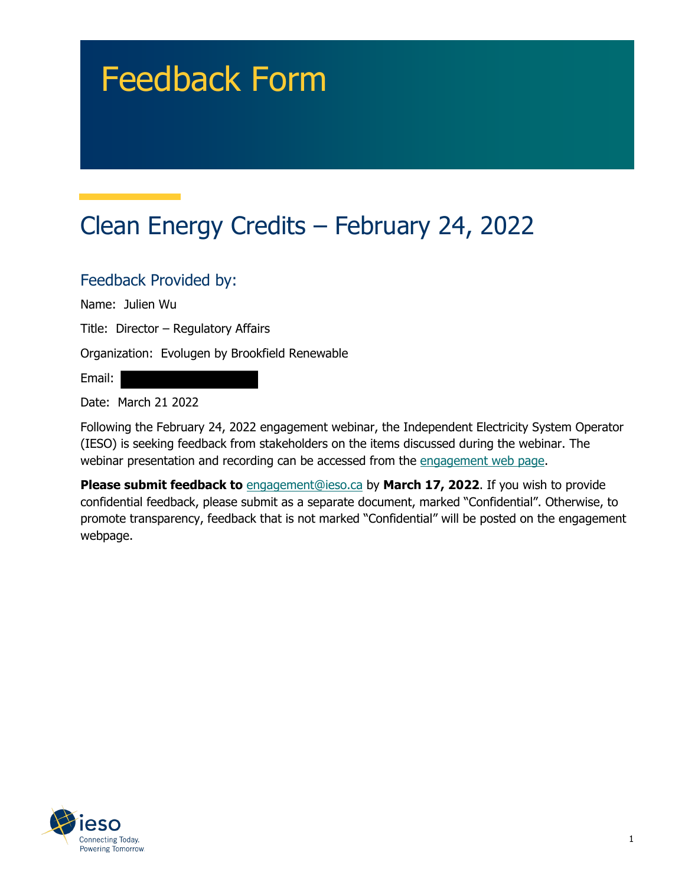# Feedback Form

# Clean Energy Credits – February 24, 2022

#### Feedback Provided by:

Name: Julien Wu

Title: Director – Regulatory Affairs

Organization: Evolugen by Brookfield Renewable

Email:

Date: March 21 2022

Following the February 24, 2022 engagement webinar, the Independent Electricity System Operator (IESO) is seeking feedback from stakeholders on the items discussed during the webinar. The webinar presentation and recording can be accessed from the engagement web page.

**Please submit feedback to** engagement@ieso.ca by March 17, 2022. If you wish to provide confidential feedback, please submit as a separate document, marked "Confidential". Otherwise, to promote transparency, feedback that is not marked "Confidential" will be posted on the engagement webpage.

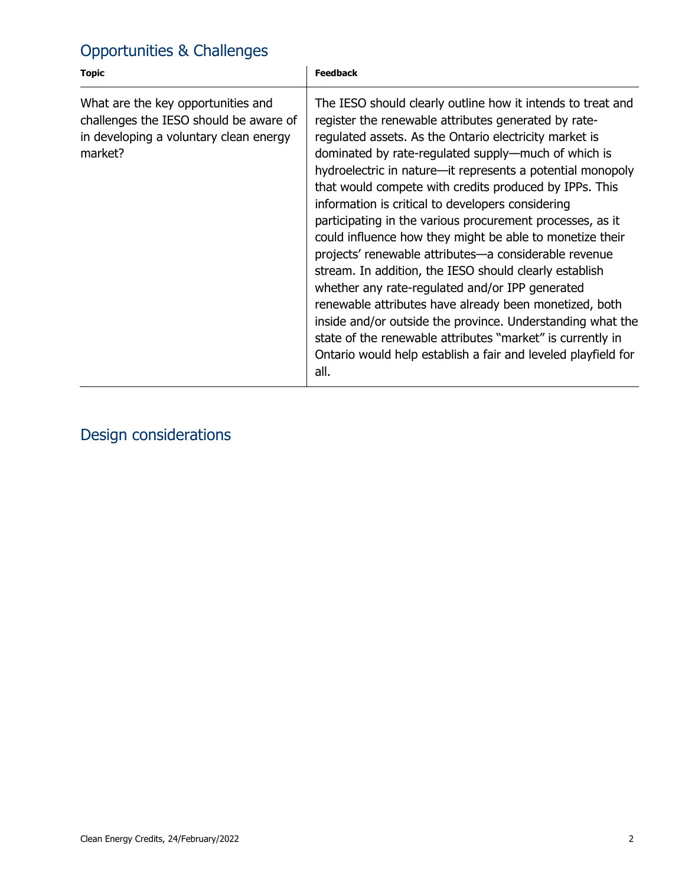## Opportunities & Challenges

| <b>Topic</b>                                                                                                                      | <b>Feedback</b>                                                                                                                                                                                                                                                                                                                                                                                                                                                                                                                                                                                                                                                                                                                                                                                                                                                                                                                                                                 |
|-----------------------------------------------------------------------------------------------------------------------------------|---------------------------------------------------------------------------------------------------------------------------------------------------------------------------------------------------------------------------------------------------------------------------------------------------------------------------------------------------------------------------------------------------------------------------------------------------------------------------------------------------------------------------------------------------------------------------------------------------------------------------------------------------------------------------------------------------------------------------------------------------------------------------------------------------------------------------------------------------------------------------------------------------------------------------------------------------------------------------------|
| What are the key opportunities and<br>challenges the IESO should be aware of<br>in developing a voluntary clean energy<br>market? | The IESO should clearly outline how it intends to treat and<br>register the renewable attributes generated by rate-<br>regulated assets. As the Ontario electricity market is<br>dominated by rate-regulated supply—much of which is<br>hydroelectric in nature—it represents a potential monopoly<br>that would compete with credits produced by IPPs. This<br>information is critical to developers considering<br>participating in the various procurement processes, as it<br>could influence how they might be able to monetize their<br>projects' renewable attributes-a considerable revenue<br>stream. In addition, the IESO should clearly establish<br>whether any rate-regulated and/or IPP generated<br>renewable attributes have already been monetized, both<br>inside and/or outside the province. Understanding what the<br>state of the renewable attributes "market" is currently in<br>Ontario would help establish a fair and leveled playfield for<br>all. |

#### Design considerations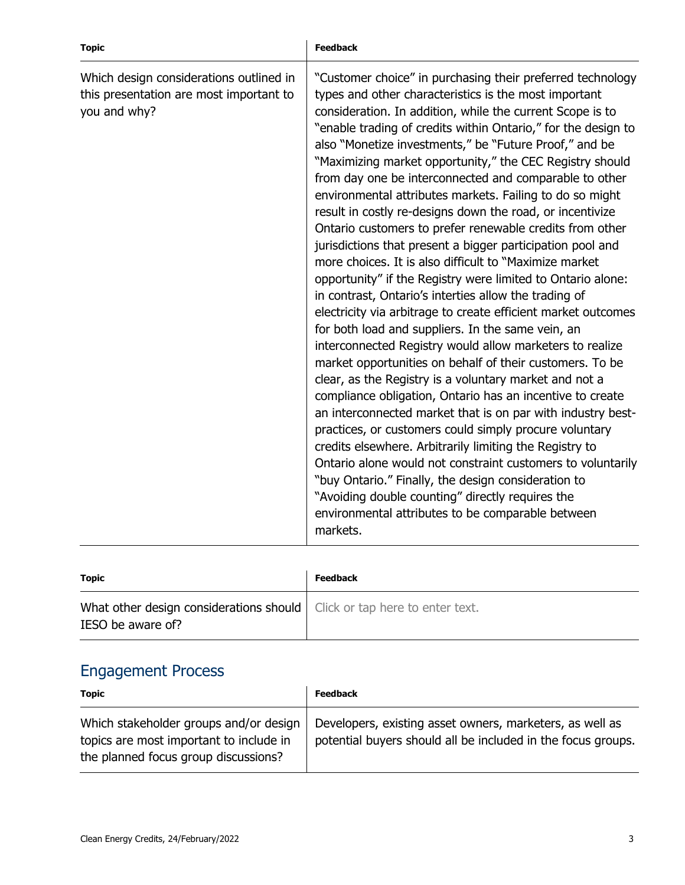| <b>Topic</b>                                                                                       | <b>Feedback</b>                                                                                                                                                                                                                                                                                                                                                                                                                                                                                                                                                                                                                                                                                                                                                                                                                                                                                                                                                                                                                                                                                                                                                                                                                                                                                                                                                                                                                                                                                                                                                                                                                                                             |
|----------------------------------------------------------------------------------------------------|-----------------------------------------------------------------------------------------------------------------------------------------------------------------------------------------------------------------------------------------------------------------------------------------------------------------------------------------------------------------------------------------------------------------------------------------------------------------------------------------------------------------------------------------------------------------------------------------------------------------------------------------------------------------------------------------------------------------------------------------------------------------------------------------------------------------------------------------------------------------------------------------------------------------------------------------------------------------------------------------------------------------------------------------------------------------------------------------------------------------------------------------------------------------------------------------------------------------------------------------------------------------------------------------------------------------------------------------------------------------------------------------------------------------------------------------------------------------------------------------------------------------------------------------------------------------------------------------------------------------------------------------------------------------------------|
| Which design considerations outlined in<br>this presentation are most important to<br>you and why? | "Customer choice" in purchasing their preferred technology<br>types and other characteristics is the most important<br>consideration. In addition, while the current Scope is to<br>"enable trading of credits within Ontario," for the design to<br>also "Monetize investments," be "Future Proof," and be<br>"Maximizing market opportunity," the CEC Registry should<br>from day one be interconnected and comparable to other<br>environmental attributes markets. Failing to do so might<br>result in costly re-designs down the road, or incentivize<br>Ontario customers to prefer renewable credits from other<br>jurisdictions that present a bigger participation pool and<br>more choices. It is also difficult to "Maximize market"<br>opportunity" if the Registry were limited to Ontario alone:<br>in contrast, Ontario's interties allow the trading of<br>electricity via arbitrage to create efficient market outcomes<br>for both load and suppliers. In the same vein, an<br>interconnected Registry would allow marketers to realize<br>market opportunities on behalf of their customers. To be<br>clear, as the Registry is a voluntary market and not a<br>compliance obligation, Ontario has an incentive to create<br>an interconnected market that is on par with industry best-<br>practices, or customers could simply procure voluntary<br>credits elsewhere. Arbitrarily limiting the Registry to<br>Ontario alone would not constraint customers to voluntarily<br>"buy Ontario." Finally, the design consideration to<br>"Avoiding double counting" directly requires the<br>environmental attributes to be comparable between<br>markets. |

| <b>Topic</b>                                                                                    | <b>Feedback</b> |
|-------------------------------------------------------------------------------------------------|-----------------|
| What other design considerations should   Click or tap here to enter text.<br>IESO be aware of? |                 |

## Engagement Process

| <b>Topic</b>                                                                                                              | <b>Feedback</b>                                                                                                          |
|---------------------------------------------------------------------------------------------------------------------------|--------------------------------------------------------------------------------------------------------------------------|
| Which stakeholder groups and/or design<br>topics are most important to include in<br>the planned focus group discussions? | Developers, existing asset owners, marketers, as well as<br>potential buyers should all be included in the focus groups. |